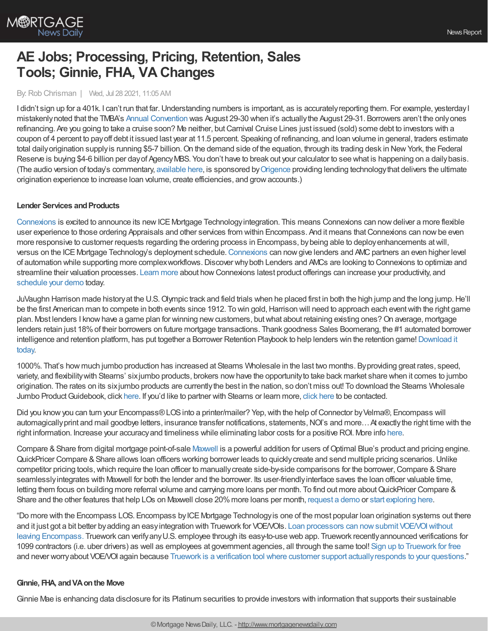

# **AE Jobs; Processing, Pricing, Retention, Sales Tools; Ginnie, FHA, VA Changes**

## By: Rob Chrisman | Wed, Jul 28 2021, 11:05 AM

I didn't sign up for a 401k. I can't run that far. Understanding numbers is important, as is accurately reporting them. For example, yesterday I mistakenlynoted that the TMBA's Annual [Convention](https://texasmba.org/convention/register.asp) was August 29-30 when it's actuallythe August 29-31. Borrowers aren't the onlyones refinancing. Are you going to take a cruise soon? Me neither, but Carnival Cruise Lines just issued (sold) some debt to investors with a coupon of 4 percent to payoff debt it issued last year at 11.5 percent. Speaking of refinancing, and loan volume in general, traders estimate total daily origination supply is running \$5-7 billion. On the demand side of the equation, through its trading desk in New York, the Federal Reserve is buying \$4-6 billion per day of Agency MBS. You don't have to break out your calculator to see what is happening on a daily basis. (The audio version of today's commentary, [available](https://linktr.ee/dailymortgagenews) here, is sponsored by[Origence](https://hubs.li/H0SHTR50) providing lending technologythat delivers the ultimate origination experience to increase loan volume, create efficiencies, and growaccounts.)

### **Lender Services and Products**

[Connexions](https://www.connexionssoftware.com/?utm_source=chris&utm_medium=cpy&utm_campaign=home1) is excited to announce its new ICE Mortgage Technology integration. This means Connexions can now deliver a more flexible user experience to those ordering Appraisals and other services from within Encompass. And it means thatConnexions can nowbe even more responsive to customer requests regarding the ordering process in Encompass, bybeing able to deployenhancements atwill, versus on the ICE Mortgage Technology's deployment schedule. [Connexions](https://www.connexionssoftware.com/?utm_source=chris&utm_medium=cpy&utm_campaign=home2) can now give lenders and AMC partners an even higher level of automation while supporting more complexworkflows.Discover whyboth Lenders and AMCs are looking to Connexions to optimize and streamline their valuation processes. [Learn](https://www.connexionssoftware.com/news/?utm_source=chris&utm_medium=cpy&utm_campaign=ice) more about howConnexions latest product offerings can increase your productivity, and [schedule](https://www.connexionssoftware.com/demo/?utm_source=chris&utm_medium=cpy&utm_campaign=demo) your demo today.

JuVaughn Harrison made historyat the U.S.Olympic track and field trials when he placed first in both the high jump and the long jump.He'll be the first American man to compete in both events since 1912. To win gold, Harrison will need to approach each event with the right game plan. Most lenders I know have a game plan for winning new customers, but what about retaining existing ones? On average, mortgage lenders retain just 18%of their borrowers on future mortgage transactions. Thank goodness Sales Boomerang, the #1 automated borrower intelligence and retention platform, has put together a Borrower Retention Playbook to help lenders win the retention game! Download it today.

1000%. That's how much jumbo production has increased at Stearns Wholesale in the last two months. Byproviding great rates, speed, variety, and flexibilitywith Stearns' sixjumbo products, brokers nowhave the opportunityto take back market share when it comes to jumbo origination. The rates on its sixjumbo products are currentlythe best in the nation, so don't miss out! To download the Stearns Wholesale Jumbo Product Guidebook, click [here](https://sites.totalexpert.net/event-registration/new-broker---chrisman-387548). If you'd like to partner with Stearns or learn more, click here to be contacted.

Did you know you can turn your Encompass® LOS into a printer/mailer? Yep, with the help of Connector by Velma®, Encompass will automagically print and mail goodbye letters, insurance transfer notifications, statements, NOI's and more... At exactly the right time with the right information. Increase your accuracyand timeliness while eliminating labor costs for a positive ROI. More info [here.](https://www.meetvelma.com/campaigns/servicing-transfer-letters/?utm_source=chrisman&utm_medium=email&utm_campaign=Jul2-transfer-letters&utm_content=auto-letters)

Compare & Share from digital mortgage point-of-sale [Maxwell](https://himaxwell.com/?utm_source=RC&utm_medium=RC_CTA) is a powerful addition for users of Optimal Blue's product and pricing engine. QuickPricer Compare & Share allows loan officers working borrower leads to quickly create and send multiple pricing scenarios. Unlike competitor pricing tools, which require the loan officer to manually create side-by-side comparisons for the borrower, Compare & Share seamlesslyintegrates with Maxwell for both the lender and the borrower. Its user-friendlyinterface saves the loan officer valuable time, letting them focus on building more referral volume and carrying more loans per month. To find out more aboutQuickPricer Compare & Share and the other features that help LOs on Maxwell close 20% more loans per month, [request](https://himaxwell.com/request-a-demo?utm_source=RC&utm_medium=RC_CTA) a demo or start [exploring](https://himaxwell.com/features/quickpricer?utm_source=RC&utm_medium=RC_CTA) here.

"Do more with the Encompass LOS. Encompass by ICE Mortgage Technology is one of the most popular loan origination systems out there and it just got a bit better by adding an easy integration with Truework for VOE/VOIs. Loan processors can now submit VOE/VOI without leaving Encompass. Truework can verifyanyU.S. employee through its easy-to-use web app. Truework [recentlyannounced](https://engage.truework.com/IB-2020-12-31-WEBSITE-DEMO_LP-Verifier-Demo-Reques-Chrisman-2021.html) verifications for 1099 contractors (i.e. uber drivers) as well as employees at government agencies, all through the same tool! Sign up to [Truework](https://www.truework.com/products/verifiers) for free and never worryabout VOE/VOI again because Truework is a verification tool where customer support [actuallyresponds](https://engage.truework.com/IB-2020-12-31-WEBSITE-DEMO_LP-Verifier-Demo-Reques-Chrisman-2021.html) to your questions."

### **Ginnie, FHA, andVAonthe Move**

Ginnie Mae is enhancing data disclosure for its Platinum securities to provide investors with information that supports their sustainable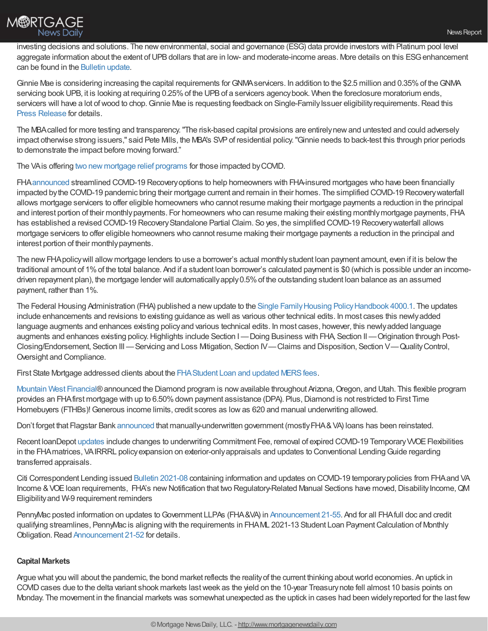

investing decisions and solutions. The new environmental, social and governance (ESG) data provide investors with Platinum pool level aggregate information about the extent of UPB dollars that are in low- and moderate-income areas. More details on this ESG enhancement can be found in the [Bulletin](https://ginniemae.gov/investors/disclosures_and_reports/Pages/BulletinsDispPage.aspx?ParamID=514&Ident=2021-038) update.

Ginnie Mae is considering increasing the capital requirements forGNMAservicers. In addition to the \$2.5 million and 0.35%of theGNMA servicing book UPB, it is looking at requiring 0.25% of the UPB of a servicers agency book. When the foreclosure moratorium ends, servicers will have a lot of wood to chop. Ginnie Mae is requesting feedback on Single-Family Issuer eligibility requirements. Read this Press [Release](https://www.ginniemae.gov/newsroom/Pages/PressReleaseDispPage.aspx?ParamID=211) for details.

The MBAcalled for more testing and transparency."The risk-based capital provisions are entirelynewand untested and could adversely impact otherwise strong issuers," said Pete Mills, the MBA's SVPof residential policy."Ginnie needs to back-test this through prior periods to demonstrate the impact before moving forward."

The VA is offering two new mortgage relief [programs](https://www.military.com/money/va-loans/2021/07/26/va-offering-two-new-mortgage-relief-programs-those-impacted-covid.html) for those impacted by COVID.

FHA[announced](https://www.hud.gov/press/press_releases_media_advisories/HUD_No_21_115) streamlined COVID-19 Recoveryoptions to help homeowners with FHA-insured mortgages who have been financially impacted bythe COVID-19 pandemic bring their mortgage current and remain in their homes. The simplified COVID-19 Recoverywaterfall allows mortgage servicers to offer eligible homeowners who cannot resume making their mortgage payments a reduction in the principal and interest portion of their monthlypayments. For homeowners who can resume making their existing monthlymortgage payments, FHA has established a revised COVID-19 Recovery Standalone Partial Claim. So yes, the simplified COVID-19 Recovery waterfall allows mortgage servicers to offer eligible homeowners who cannot resume making their mortgage payments a reduction in the principal and interest portion of their monthly payments.

The newFHApolicywill allow mortgage lenders to use a borrower's actual monthlystudent loan payment amount, even if it is belowthe traditional amount of 1%of the total balance. And if a student loan borrower's calculated payment is \$0 (which is possible under an incomedriven repayment plan), the mortgage lender will automaticallyapply0.5%of the outstanding student loan balance as an assumed payment, rather than 1%.

The Federal Housing Administration (FHA) published a new update to the Single Family Housing Policy Handbook 4000.1. The updates include enhancements and revisions to existing guidance as well as various other technical edits. In most cases this newlyadded language augments and enhances existing policy and various technical edits. In most cases, however, this newly added language augments and enhances existing policy. Highlights include Section I-Doing Business with FHA, Section II-Origination through Post-Closing/Endorsement, Section III —Servicing and Loss Mitigation, Section IV—Claims and Disposition, Section V—QualityControl, Oversight and Compliance.

First State Mortgage addressed clients about the FHA Student Loan and updated MERS fees.

Mountain West [Financial®](https://portal.mwfinc.com/amp/programs/18520) announced the Diamond program is now available throughout Arizona, Oregon, and Utah. This flexible program provides an FHA first mortgage with up to 6.50% down payment assistance (DPA). Plus, Diamond is not restricted to First Time Homebuyers (FTHBs)! Generous income limits, credit scores as low as 620 and manual underwriting allowed.

Don't forget that Flagstar Bank [announced](https://www.flagstar.com/content/dam/tpo/sellers-guide/announcements/21062.pdf) that manually-underwritten government (mostlyFHA&VA) loans has been reinstated.

Recent loanDepot [updates](https://portal.ldwholesale.com/portaldocs/communication/LDW_WNTW_07_12_21.pdf) include changes to underwriting Commitment Fee, removal of expired COVID-19 Temporary WOE Flexibilities in the FHA matrices, VAIRRRL policy expansion on exterior-only appraisals and updates to Conventional Lending Guide regarding transferred appraisals.

Citi Correspondent Lending issued Bulletin [2021-08](https://softvu-private.s3.amazonaws.com/client_9f6807a6dd8847e2a6cda8b96b0ba8b1/Bulletin_2021-08_July.pdf) containing information and updates on COVID-19 temporarypolicies from FHAand VA Income & VOE loan requirements, FHA's new Notification that two Regulatory-Related Manual Sections have moved, Disability Income, QM Eligibilityand W-9 requirement reminders

PennyMac posted information on updates to Government LLPAs (FHA&VA) in [Announcement](https://www.gopennymac.com/announcements/announcement-21-55) 21-55. And for all FHA full doc and credit qualifying streamlines, PennyMac is aligning with the requirements in FHAML 2021-13 Student Loan Payment Calculation of Monthly Obligation. Read [Announcement](https://www.gopennymac.com/announcements/announcement-21-52) 21-52 for details.

### **Capital Markets**

Argue what you will about the pandemic, the bond market reflects the realityof the current thinking aboutworld economies. An uptick in COVID cases due to the delta variant shook markets last week as the yield on the 10-year Treasury note fell almost 10 basis points on Monday. The movement in the financial markets was somewhat unexpected as the uptick in cases had been widelyreported for the last few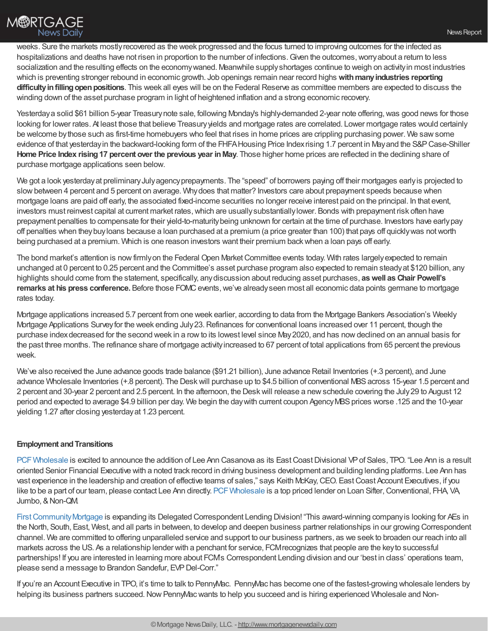

weeks. Sure the markets mostlyrecovered as the week progressed and the focus turned to improving outcomes for the infected as hospitalizations and deaths have not risen in proportion to the number of infections. Given the outcomes, worry about a return to less socialization and the resulting effects on the economywaned. Meanwhile supplyshortages continue to weigh on activityin most industries which is preventing stronger rebound in economic growth. Job openings remain near record highs **withmanyindustries reporting** difficulty in filling open positions. This week all eyes will be on the Federal Reserve as committee members are expected to discuss the winding down of the asset purchase program in light of heightened inflation and a strong economic recovery.

Yesterdaya solid \$61 billion 5-year Treasury note sale, following Monday's highly-demanded 2-year note offering, was good news for those looking for lower rates. At least those that believe Treasuryyields and mortgage rates are correlated. Lower mortgage rates would certainly be welcome bythose such as first-time homebuyers who feel that rises in home prices are crippling purchasing power. We sawsome evidence of that yesterdayin the backward-looking form of the FHFAHousing Price Indexrising 1.7 percent in Mayand the S&PCase-Shiller **Home Price Index rising17 percent over the previous year inMay**. Those higher home prices are reflected in the declining share of purchase mortgage applications seen below.

We got a look yesterday at preliminary July agency prepayments. The "speed" of borrowers paying off their mortgages early is projected to slowbetween 4 percent and 5 percent on average. Whydoes that matter? Investors care about prepayment speeds because when mortgage loans are paid off early, the associated fixed-income securities no longer receive interest paid on the principal. In that event, investors must reinvest capital at current market rates, which are usually substantially lower. Bonds with prepayment risk often have prepayment penalties to compensate for their yield-to-maturitybeing unknown for certain at the time of purchase. Investors have earlypay off penalties when theybuyloans because a loan purchased at a premium (a price greater than 100) that pays off quicklywas notworth being purchased at a premium. Which is one reason investors want their premium backwhen a loan pays off early.

The bond market's attention is now firmly on the Federal Open Market Committee events today. With rates largely expected to remain unchanged at 0 percent to 0.25 percent and the Committee's asset purchase program also expected to remain steadyat \$120 billion, any highlights should come from the statement, specifically, anydiscussion about reducing asset purchases, **aswell as Chair Powell's remarks at his press conference.** Before those FOMC events, we've already seen most all economic data points germane to mortgage rates today.

Mortgage applications increased 5.7 percent from one week earlier, according to data from the Mortgage Bankers Association's Weekly Mortgage Applications Surveyfor the week ending July23.Refinances for conventional loans increased over 11 percent, though the purchase indexdecreased for the second week in a rowto its lowest level since May2020, and has nowdeclined on an annual basis for the past three months. The refinance share of mortgage activityincreased to 67 percent of total applications from 65 percent the previous week.

We've also received the June advance goods trade balance (\$91.21 billion), June advance Retail Inventories (+.3 percent), and June advance Wholesale Inventories (+.8 percent). The Desk will purchase up to \$4.5 billion of conventional MBS across 15-year 1.5 percent and 2 percent and 30-year 2 percent and 2.5 percent. In the afternoon, the Deskwill release a newschedule covering the July29 to August 12 period and expected to average \$4.9 billion per day. We begin the daywith current coupon AgencyMBSprices worse .125 and the 10-year yielding 1.27 after closing yesterdayat 1.23 percent.

### **Employment and Transitions**

PCF Wholesale is excited to announce the addition of Lee Ann Casanova as its East Coast Divisional VP of Sales, TPO. "Lee Ann is a result oriented Senior Financial Executive with a noted track record in driving business development and building lending platforms. Lee Ann has vast experience in the leadership and creation of effective teams of sales," says Keith McKay,CEO. EastCoast Account Executives, if you like to be a part of our team, please contact Lee Ann directly. PCF Wholesale is a top priced lender on Loan Sifter, Conventional, FHA, VA, Jumbo, & Non-QM.

First Community Mortgage is expanding its Delegated Correspondent Lending Division! "This award-winning company is looking for AEs in the North, South, East, West, and all parts in between, to develop and deepen business partner relationships in our growing Correspondent channel. We are committed to offering unparalleled service and support to our business partners, as we seek to broaden our reach into all markets across the US. As a relationship lender with a penchant for service, FCMrecognizes that people are the keyto successful partnerships! If you are interested in learning more about FCM's Correspondent Lending division and our 'best in class' operations team, please send a message to Brandon Sandefur, EVP Del-Corr."

If you're an Account Executive in TPO, it's time to talk to PennyMac. PennyMac has become one of the fastest-growing wholesale lenders by helping its business partners succeed. Now PennyMac wants to help you succeed and is hiring experienced Wholesale and Non-